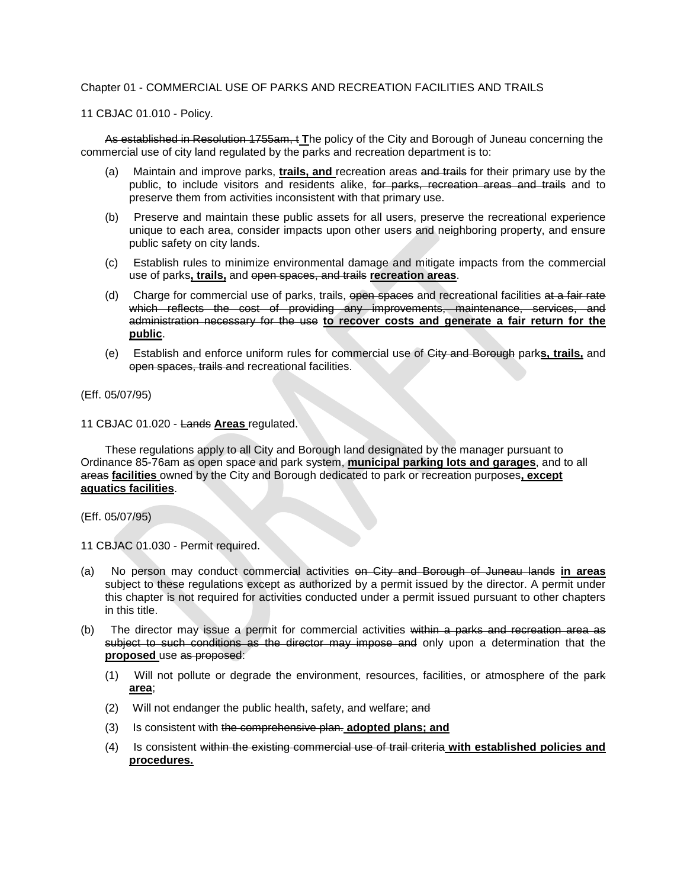### Chapter 01 - COMMERCIAL USE OF PARKS AND RECREATION FACILITIES AND TRAILS

11 CBJAC 01.010 - Policy.

As established in Resolution 1755am, t **T**he policy of the City and Borough of Juneau concerning the commercial use of city land regulated by the parks and recreation department is to:

- (a) Maintain and improve parks, **trails, and** recreation areas and trails for their primary use by the public, to include visitors and residents alike, for parks, recreation areas and trails and to preserve them from activities inconsistent with that primary use.
- (b) Preserve and maintain these public assets for all users, preserve the recreational experience unique to each area, consider impacts upon other users and neighboring property, and ensure public safety on city lands.
- (c) Establish rules to minimize environmental damage and mitigate impacts from the commercial use of parks**, trails,** and open spaces, and trails **recreation areas**.
- (d) Charge for commercial use of parks, trails, open spaces and recreational facilities at a fair rate which reflects the cost of providing any improvements, maintenance, services, and administration necessary for the use **to recover costs and generate a fair return for the public**.
- (e) Establish and enforce uniform rules for commercial use of City and Borough park**s, trails,** and open spaces, trails and recreational facilities.

### (Eff. 05/07/95)

### 11 CBJAC 01.020 - Lands **Areas** regulated.

These regulations apply to all City and Borough land designated by the manager pursuant to Ordinance 85-76am as open space and park system, **municipal parking lots and garages**, and to all areas **facilities** owned by the City and Borough dedicated to park or recreation purposes**, except aquatics facilities**.

### (Eff. 05/07/95)

- 11 CBJAC 01.030 Permit required.
- (a) No person may conduct commercial activities on City and Borough of Juneau lands **in areas**  subject to these regulations except as authorized by a permit issued by the director. A permit under this chapter is not required for activities conducted under a permit issued pursuant to other chapters in this title.
- (b) The director may issue a permit for commercial activities within a parks and recreation area as subject to such conditions as the director may impose and only upon a determination that the **proposed** use as proposed:
	- (1) Will not pollute or degrade the environment, resources, facilities, or atmosphere of the park **area**;
	- (2) Will not endanger the public health, safety, and welfare; and
	- (3) Is consistent with the comprehensive plan. **adopted plans; and**
	- (4) Is consistent within the existing commercial use of trail criteria **with established policies and procedures.**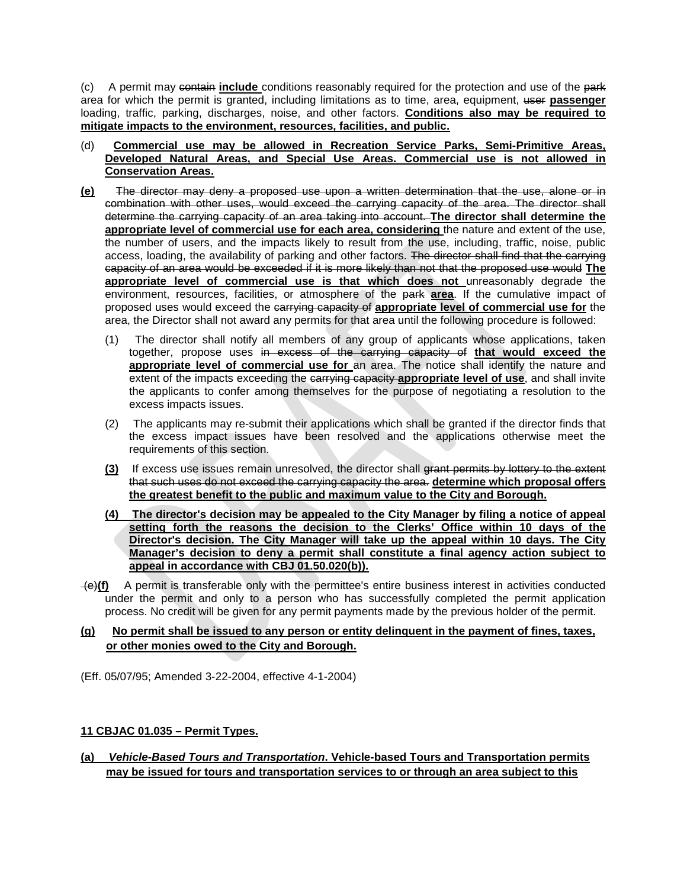(c) A permit may contain **include** conditions reasonably required for the protection and use of the park area for which the permit is granted, including limitations as to time, area, equipment, user **passenger**  loading, traffic, parking, discharges, noise, and other factors. **Conditions also may be required to mitigate impacts to the environment, resources, facilities, and public.**

- (d) **Commercial use may be allowed in Recreation Service Parks, Semi-Primitive Areas, Developed Natural Areas, and Special Use Areas. Commercial use is not allowed in Conservation Areas.**
- **(e)** The director may deny a proposed use upon a written determination that the use, alone or in combination with other uses, would exceed the carrying capacity of the area. The director shall determine the carrying capacity of an area taking into account. **The director shall determine the appropriate level of commercial use for each area, considering** the nature and extent of the use, the number of users, and the impacts likely to result from the use, including, traffic, noise, public access, loading, the availability of parking and other factors. The director shall find that the carrying capacity of an area would be exceeded if it is more likely than not that the proposed use would **The appropriate level of commercial use is that which does not** unreasonably degrade the environment, resources, facilities, or atmosphere of the park **area**. If the cumulative impact of proposed uses would exceed the carrying capacity of **appropriate level of commercial use for** the area, the Director shall not award any permits for that area until the following procedure is followed:
	- (1) The director shall notify all members of any group of applicants whose applications, taken together, propose uses in excess of the carrying capacity of **that would exceed the appropriate level of commercial use for** an area. The notice shall identify the nature and extent of the impacts exceeding the carrying capacity **appropriate level of use**, and shall invite the applicants to confer among themselves for the purpose of negotiating a resolution to the excess impacts issues.
	- (2) The applicants may re-submit their applications which shall be granted if the director finds that the excess impact issues have been resolved and the applications otherwise meet the requirements of this section.
	- **(3)** If excess use issues remain unresolved, the director shall grant permits by lottery to the extent that such uses do not exceed the carrying capacity the area. **determine which proposal offers the greatest benefit to the public and maximum value to the City and Borough.**
	- **(4) The director's decision may be appealed to the City Manager by filing a notice of appeal setting forth the reasons the decision to the Clerks' Office within 10 days of the Director's decision. The City Manager will take up the appeal within 10 days. The City Manager's decision to deny a permit shall constitute a final agency action subject to appeal in accordance with CBJ 01.50.020(b)).**
- (e)**(f)** A permit is transferable only with the permittee's entire business interest in activities conducted under the permit and only to a person who has successfully completed the permit application process. No credit will be given for any permit payments made by the previous holder of the permit.

# **(g) No permit shall be issued to any person or entity delinquent in the payment of fines, taxes, or other monies owed to the City and Borough.**

(Eff. 05/07/95; Amended 3-22-2004, effective 4-1-2004)

# **11 CBJAC 01.035 – Permit Types.**

**(a)** *Vehicle-Based Tours and Transportation***. Vehicle-based Tours and Transportation permits may be issued for tours and transportation services to or through an area subject to this**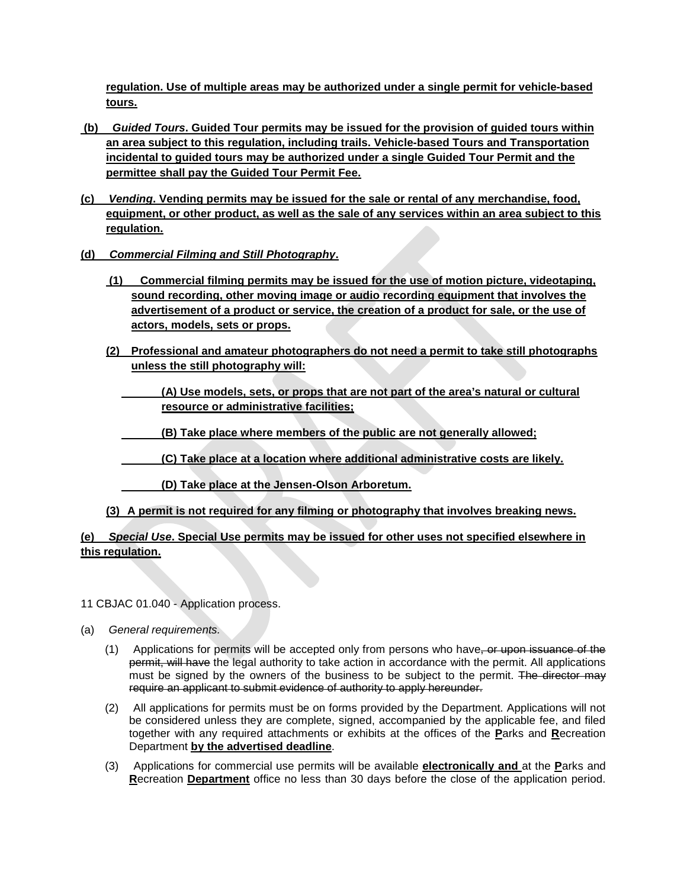**regulation. Use of multiple areas may be authorized under a single permit for vehicle-based tours.**

- **(b)** *Guided Tours***. Guided Tour permits may be issued for the provision of guided tours within an area subject to this regulation, including trails. Vehicle-based Tours and Transportation incidental to guided tours may be authorized under a single Guided Tour Permit and the permittee shall pay the Guided Tour Permit Fee.**
- **(c)** *Vending***. Vending permits may be issued for the sale or rental of any merchandise, food, equipment, or other product, as well as the sale of any services within an area subject to this regulation.**
- **(d)** *Commercial Filming and Still Photography***.** 
	- **(1) Commercial filming permits may be issued for the use of motion picture, videotaping, sound recording, other moving image or audio recording equipment that involves the advertisement of a product or service, the creation of a product for sale, or the use of actors, models, sets or props.**
	- **(2) Professional and amateur photographers do not need a permit to take still photographs unless the still photography will:**
		- **(A) Use models, sets, or props that are not part of the area's natural or cultural resource or administrative facilities;**
		- **(B) Take place where members of the public are not generally allowed;**
		- **(C) Take place at a location where additional administrative costs are likely.**
		- **(D) Take place at the Jensen-Olson Arboretum.**
	- **(3) A permit is not required for any filming or photography that involves breaking news.**

# **(e)** *Special Use***. Special Use permits may be issued for other uses not specified elsewhere in this regulation.**

- 11 CBJAC 01.040 Application process.
- (a) *General requirements.*
	- (1) Applications for permits will be accepted only from persons who have, or upon issuance of the permit, will have the legal authority to take action in accordance with the permit. All applications must be signed by the owners of the business to be subject to the permit. The director may require an applicant to submit evidence of authority to apply hereunder.
	- (2) All applications for permits must be on forms provided by the Department. Applications will not be considered unless they are complete, signed, accompanied by the applicable fee, and filed together with any required attachments or exhibits at the offices of the **P**arks and **R**ecreation Department **by the advertised deadline**.
	- (3) Applications for commercial use permits will be available **electronically and** at the **P**arks and **R**ecreation **Department** office no less than 30 days before the close of the application period.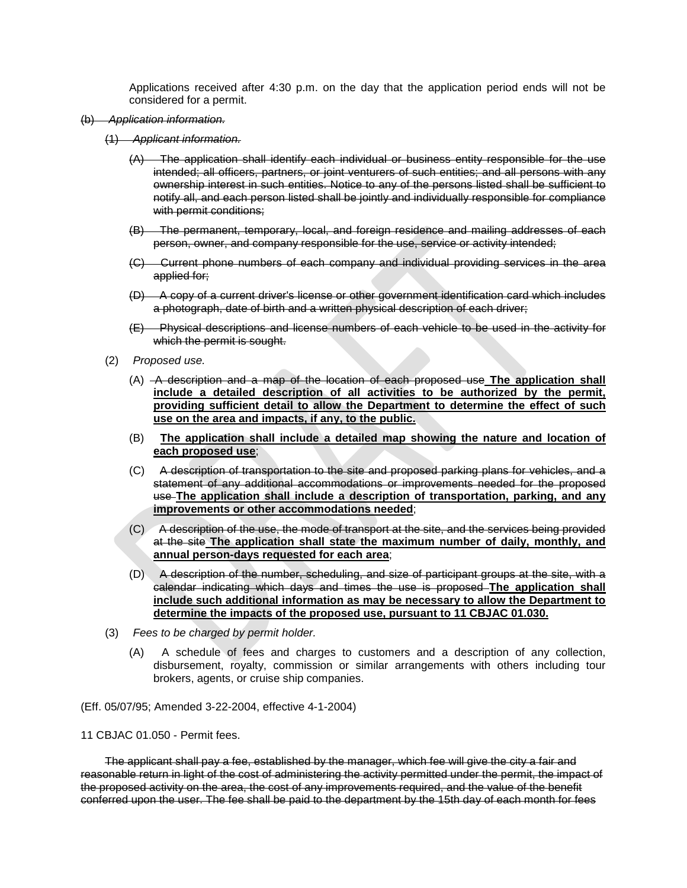Applications received after 4:30 p.m. on the day that the application period ends will not be considered for a permit.

- (b) *Application information.*
	- (1) *Applicant information.*
		- (A) The application shall identify each individual or business entity responsible for the use intended; all officers, partners, or joint venturers of such entities; and all persons with any ownership interest in such entities. Notice to any of the persons listed shall be sufficient to notify all, and each person listed shall be jointly and individually responsible for compliance with permit conditions;
		- (B) The permanent, temporary, local, and foreign residence and mailing addresses of each person, owner, and company responsible for the use, service or activity intended;
		- (C) Current phone numbers of each company and individual providing services in the area applied for;
		- (D) A copy of a current driver's license or other government identification card which includes a photograph, date of birth and a written physical description of each driver;
		- (E) Physical descriptions and license numbers of each vehicle to be used in the activity for which the permit is sought.
	- (2) *Proposed use.*
		- (A) A description and a map of the location of each proposed use **The application shall include a detailed description of all activities to be authorized by the permit, providing sufficient detail to allow the Department to determine the effect of such use on the area and impacts, if any, to the public.**
		- (B) **The application shall include a detailed map showing the nature and location of each proposed use**;
		- (C) A description of transportation to the site and proposed parking plans for vehicles, and a statement of any additional accommodations or improvements needed for the proposed use **The application shall include a description of transportation, parking, and any improvements or other accommodations needed**;
		- (C) A description of the use, the mode of transport at the site, and the services being provided at the site **The application shall state the maximum number of daily, monthly, and annual person-days requested for each area**;
		- (D) A description of the number, scheduling, and size of participant groups at the site, with a calendar indicating which days and times the use is proposed **The application shall include such additional information as may be necessary to allow the Department to determine the impacts of the proposed use, pursuant to 11 CBJAC 01.030.**
	- (3) *Fees to be charged by permit holder.*
		- (A) A schedule of fees and charges to customers and a description of any collection, disbursement, royalty, commission or similar arrangements with others including tour brokers, agents, or cruise ship companies.

(Eff. 05/07/95; Amended 3-22-2004, effective 4-1-2004)

11 CBJAC 01.050 - Permit fees.

The applicant shall pay a fee, established by the manager, which fee will give the city a fair and reasonable return in light of the cost of administering the activity permitted under the permit, the impact of the proposed activity on the area, the cost of any improvements required, and the value of the benefit conferred upon the user. The fee shall be paid to the department by the 15th day of each month for fees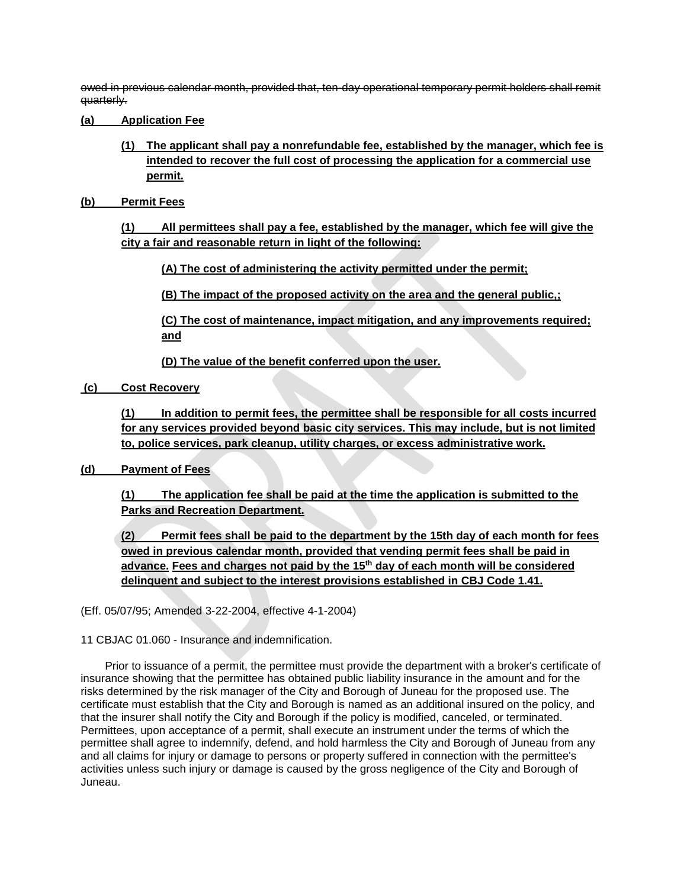owed in previous calendar month, provided that, ten-day operational temporary permit holders shall remit quarterly.

- **(a) Application Fee**
	- **(1) The applicant shall pay a nonrefundable fee, established by the manager, which fee is intended to recover the full cost of processing the application for a commercial use permit.**
- **(b) Permit Fees**

**(1) All permittees shall pay a fee, established by the manager, which fee will give the city a fair and reasonable return in light of the following:**

**(A) The cost of administering the activity permitted under the permit;** 

**(B) The impact of the proposed activity on the area and the general public,;**

**(C) The cost of maintenance, impact mitigation, and any improvements required; and** 

**(D) The value of the benefit conferred upon the user.** 

**(c) Cost Recovery**

**(1) In addition to permit fees, the permittee shall be responsible for all costs incurred for any services provided beyond basic city services. This may include, but is not limited to, police services, park cleanup, utility charges, or excess administrative work.** 

**(d) Payment of Fees**

**(1) The application fee shall be paid at the time the application is submitted to the Parks and Recreation Department.**

**(2) Permit fees shall be paid to the department by the 15th day of each month for fees owed in previous calendar month, provided that vending permit fees shall be paid in advance. Fees and charges not paid by the 15th day of each month will be considered delinquent and subject to the interest provisions established in CBJ Code 1.41.**

(Eff. 05/07/95; Amended 3-22-2004, effective 4-1-2004)

11 CBJAC 01.060 - Insurance and indemnification.

Prior to issuance of a permit, the permittee must provide the department with a broker's certificate of insurance showing that the permittee has obtained public liability insurance in the amount and for the risks determined by the risk manager of the City and Borough of Juneau for the proposed use. The certificate must establish that the City and Borough is named as an additional insured on the policy, and that the insurer shall notify the City and Borough if the policy is modified, canceled, or terminated. Permittees, upon acceptance of a permit, shall execute an instrument under the terms of which the permittee shall agree to indemnify, defend, and hold harmless the City and Borough of Juneau from any and all claims for injury or damage to persons or property suffered in connection with the permittee's activities unless such injury or damage is caused by the gross negligence of the City and Borough of Juneau.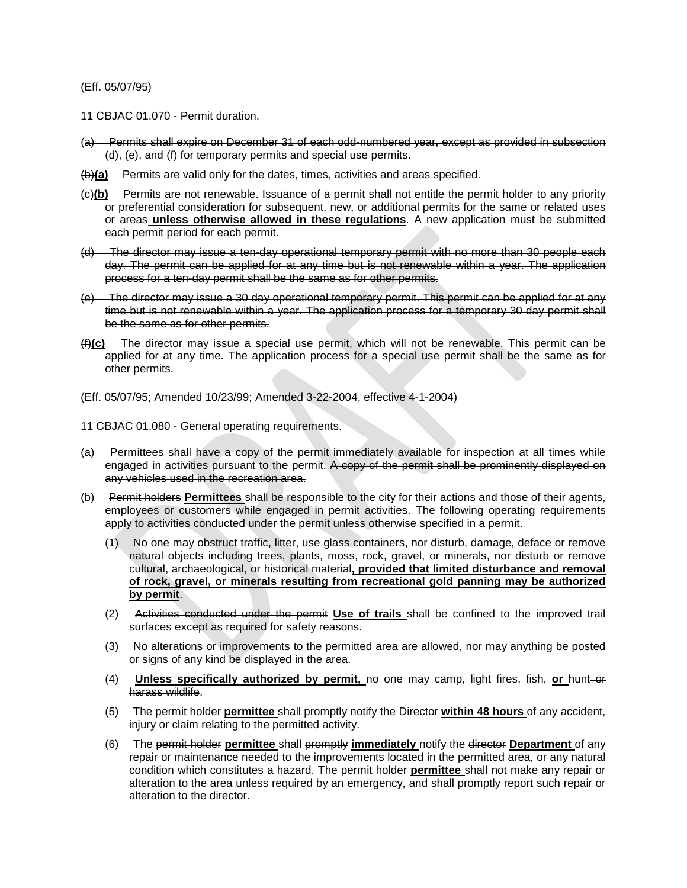### (Eff. 05/07/95)

- 11 CBJAC 01.070 Permit duration.
- (a) Permits shall expire on December 31 of each odd-numbered year, except as provided in subsection (d), (e), and (f) for temporary permits and special use permits.
- (b)**(a)** Permits are valid only for the dates, times, activities and areas specified.
- (c)**(b)** Permits are not renewable. Issuance of a permit shall not entitle the permit holder to any priority or preferential consideration for subsequent, new, or additional permits for the same or related uses or areas **unless otherwise allowed in these regulations**. A new application must be submitted each permit period for each permit.
- (d) The director may issue a ten-day operational temporary permit with no more than 30 people each day. The permit can be applied for at any time but is not renewable within a year. The application process for a ten-day permit shall be the same as for other permits.
- (e) The director may issue a 30 day operational temporary permit. This permit can be applied for at any time but is not renewable within a year. The application process for a temporary 30 day permit shall be the same as for other permits.
- (f)**(c)** The director may issue a special use permit, which will not be renewable. This permit can be applied for at any time. The application process for a special use permit shall be the same as for other permits.
- (Eff. 05/07/95; Amended 10/23/99; Amended 3-22-2004, effective 4-1-2004)
- 11 CBJAC 01.080 General operating requirements.
- (a) Permittees shall have a copy of the permit immediately available for inspection at all times while engaged in activities pursuant to the permit. A copy of the permit shall be prominently displayed on any vehicles used in the recreation area.
- (b) Permit holders **Permittees** shall be responsible to the city for their actions and those of their agents, employees or customers while engaged in permit activities. The following operating requirements apply to activities conducted under the permit unless otherwise specified in a permit.
	- (1) No one may obstruct traffic, litter, use glass containers, nor disturb, damage, deface or remove natural objects including trees, plants, moss, rock, gravel, or minerals, nor disturb or remove cultural, archaeological, or historical material**, provided that limited disturbance and removal of rock, gravel, or minerals resulting from recreational gold panning may be authorized by permit**.
	- (2) Activities conducted under the permit **Use of trails** shall be confined to the improved trail surfaces except as required for safety reasons.
	- (3) No alterations or improvements to the permitted area are allowed, nor may anything be posted or signs of any kind be displayed in the area.
	- (4) **Unless specifically authorized by permit,** no one may camp, light fires, fish, **or** hunt-or harass wildlife.
	- (5) The permit holder **permittee** shall promptly notify the Director **within 48 hours** of any accident, injury or claim relating to the permitted activity.
	- (6) The permit holder **permittee** shall promptly **immediately** notify the director **Department** of any repair or maintenance needed to the improvements located in the permitted area, or any natural condition which constitutes a hazard. The permit holder **permittee** shall not make any repair or alteration to the area unless required by an emergency, and shall promptly report such repair or alteration to the director.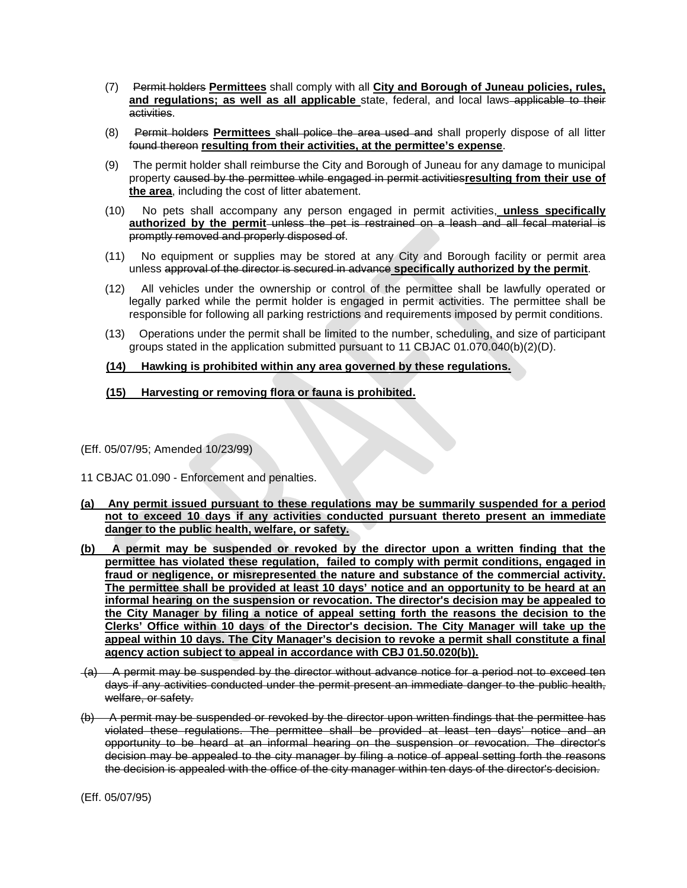- (7) Permit holders **Permittees** shall comply with all **City and Borough of Juneau policies, rules, and regulations; as well as all applicable** state, federal, and local laws applicable to their activities.
- (8) Permit holders **Permittees** shall police the area used and shall properly dispose of all litter found thereon **resulting from their activities, at the permittee's expense**.
- (9) The permit holder shall reimburse the City and Borough of Juneau for any damage to municipal property caused by the permittee while engaged in permit activities**resulting from their use of the area**, including the cost of litter abatement.
- (10) No pets shall accompany any person engaged in permit activities, **unless specifically authorized by the permit** unless the pet is restrained on a leash and all fecal material is promptly removed and properly disposed of.
- (11) No equipment or supplies may be stored at any City and Borough facility or permit area unless approval of the director is secured in advance **specifically authorized by the permit**.
- (12) All vehicles under the ownership or control of the permittee shall be lawfully operated or legally parked while the permit holder is engaged in permit activities. The permittee shall be responsible for following all parking restrictions and requirements imposed by permit conditions.
- (13) Operations under the permit shall be limited to the number, scheduling, and size of participant groups stated in the application submitted pursuant to 11 CBJAC 01.070.040(b)(2)(D).

## **(14) Hawking is prohibited within any area governed by these regulations.**

# **(15) Harvesting or removing flora or fauna is prohibited.**

(Eff. 05/07/95; Amended 10/23/99)

11 CBJAC 01.090 - Enforcement and penalties.

- **(a) Any permit issued pursuant to these regulations may be summarily suspended for a period not to exceed 10 days if any activities conducted pursuant thereto present an immediate danger to the public health, welfare, or safety.**
- **(b) A permit may be suspended or revoked by the director upon a written finding that the permittee has violated these regulation, failed to comply with permit conditions, engaged in fraud or negligence, or misrepresented the nature and substance of the commercial activity. The permittee shall be provided at least 10 days' notice and an opportunity to be heard at an informal hearing on the suspension or revocation. The director's decision may be appealed to the City Manager by filing a notice of appeal setting forth the reasons the decision to the Clerks' Office within 10 days of the Director's decision. The City Manager will take up the appeal within 10 days. The City Manager's decision to revoke a permit shall constitute a final agency action subject to appeal in accordance with CBJ 01.50.020(b)).**
- (a) A permit may be suspended by the director without advance notice for a period not to exceed ten days if any activities conducted under the permit present an immediate danger to the public health, welfare, or safety.
- (b) A permit may be suspended or revoked by the director upon written findings that the permittee has violated these regulations. The permittee shall be provided at least ten days' notice and an opportunity to be heard at an informal hearing on the suspension or revocation. The director's decision may be appealed to the city manager by filing a notice of appeal setting forth the reasons the decision is appealed with the office of the city manager within ten days of the director's decision.

<sup>(</sup>Eff. 05/07/95)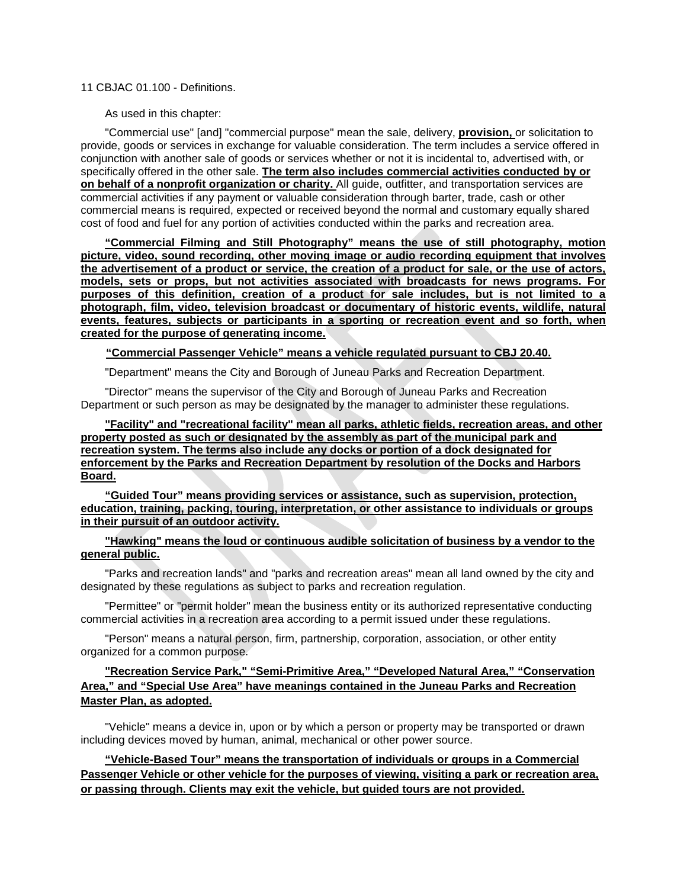## 11 CBJAC 01.100 - Definitions.

As used in this chapter:

"Commercial use" [and] "commercial purpose" mean the sale, delivery, **provision,** or solicitation to provide, goods or services in exchange for valuable consideration. The term includes a service offered in conjunction with another sale of goods or services whether or not it is incidental to, advertised with, or specifically offered in the other sale. **The term also includes commercial activities conducted by or on behalf of a nonprofit organization or charity.** All guide, outfitter, and transportation services are commercial activities if any payment or valuable consideration through barter, trade, cash or other commercial means is required, expected or received beyond the normal and customary equally shared cost of food and fuel for any portion of activities conducted within the parks and recreation area.

**"Commercial Filming and Still Photography" means the use of still photography, motion picture, video, sound recording, other moving image or audio recording equipment that involves the advertisement of a product or service, the creation of a product for sale, or the use of actors, models, sets or props, but not activities associated with broadcasts for news programs. For purposes of this definition, creation of a product for sale includes, but is not limited to a photograph, film, video, television broadcast or documentary of historic events, wildlife, natural events, features, subjects or participants in a sporting or recreation event and so forth, when created for the purpose of generating income.**

### **"Commercial Passenger Vehicle" means a vehicle regulated pursuant to CBJ 20.40.**

"Department" means the City and Borough of Juneau Parks and Recreation Department.

"Director" means the supervisor of the City and Borough of Juneau Parks and Recreation Department or such person as may be designated by the manager to administer these regulations.

**"Facility" and "recreational facility" mean all parks, athletic fields, recreation areas, and other property posted as such or designated by the assembly as part of the municipal park and recreation system. The terms also include any docks or portion of a dock designated for enforcement by the Parks and Recreation Department by resolution of the Docks and Harbors Board.** 

**"Guided Tour" means providing services or assistance, such as supervision, protection, education, training, packing, touring, interpretation, or other assistance to individuals or groups in their pursuit of an outdoor activity.**

## **"Hawking" means the loud or continuous audible solicitation of business by a vendor to the general public.**

"Parks and recreation lands" and "parks and recreation areas" mean all land owned by the city and designated by these regulations as subject to parks and recreation regulation.

"Permittee" or "permit holder" mean the business entity or its authorized representative conducting commercial activities in a recreation area according to a permit issued under these regulations.

"Person" means a natural person, firm, partnership, corporation, association, or other entity organized for a common purpose.

# **"Recreation Service Park," "Semi-Primitive Area," "Developed Natural Area," "Conservation Area," and "Special Use Area" have meanings contained in the Juneau Parks and Recreation Master Plan, as adopted.**

"Vehicle" means a device in, upon or by which a person or property may be transported or drawn including devices moved by human, animal, mechanical or other power source.

**"Vehicle-Based Tour" means the transportation of individuals or groups in a Commercial Passenger Vehicle or other vehicle for the purposes of viewing, visiting a park or recreation area, or passing through. Clients may exit the vehicle, but guided tours are not provided.**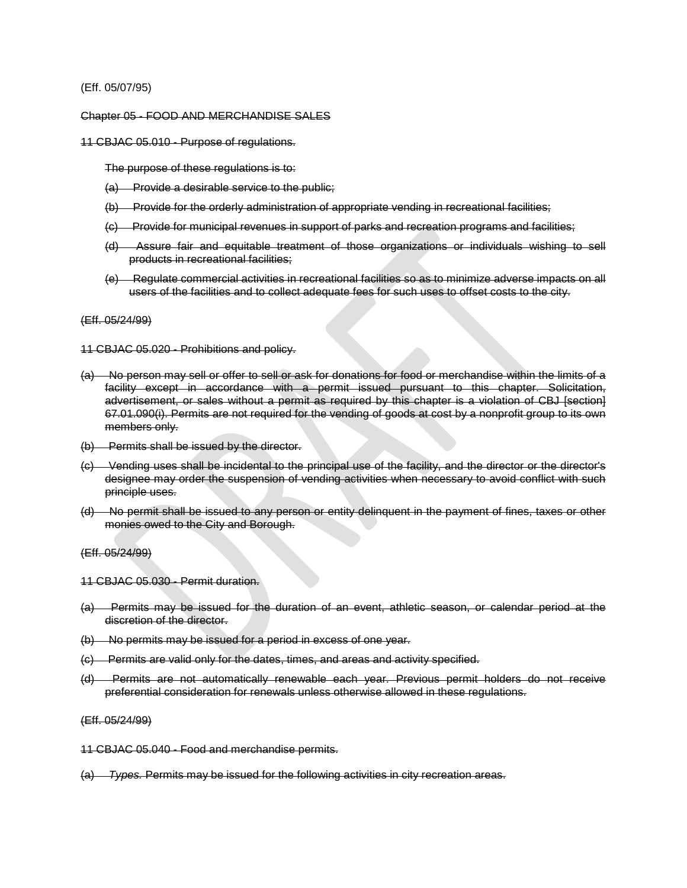### (Eff. 05/07/95)

### Chapter 05 - FOOD AND MERCHANDISE SALES

11 CBJAC 05.010 - Purpose of regulations.

The purpose of these regulations is to:

- (a) Provide a desirable service to the public;
- (b) Provide for the orderly administration of appropriate vending in recreational facilities;
- (c) Provide for municipal revenues in support of parks and recreation programs and facilities;
- (d) Assure fair and equitable treatment of those organizations or individuals wishing to sell products in recreational facilities;
- (e) Regulate commercial activities in recreational facilities so as to minimize adverse impacts on all users of the facilities and to collect adequate fees for such uses to offset costs to the city.

### (Eff. 05/24/99)

11 CBJAC 05.020 - Prohibitions and policy.

- (a) No person may sell or offer to sell or ask for donations for food or merchandise within the limits of a facility except in accordance with a permit issued pursuant to this chapter. Solicitation, advertisement, or sales without a permit as required by this chapter is a violation of CBJ [section] 67.01.090(i). Permits are not required for the vending of goods at cost by a nonprofit group to its own members only.
- (b) Permits shall be issued by the director.
- (c) Vending uses shall be incidental to the principal use of the facility, and the director or the director's designee may order the suspension of vending activities when necessary to avoid conflict with such principle uses.
- (d) No permit shall be issued to any person or entity delinquent in the payment of fines, taxes or other monies owed to the City and Borough.

### (Eff. 05/24/99)

- 11 CBJAC 05.030 Permit duration.
- (a) Permits may be issued for the duration of an event, athletic season, or calendar period at the discretion of the director.
- (b) No permits may be issued for a period in excess of one year.
- (c) Permits are valid only for the dates, times, and areas and activity specified.
- (d) Permits are not automatically renewable each year. Previous permit holders do not receive preferential consideration for renewals unless otherwise allowed in these regulations.

### (Eff. 05/24/99)

- 11 CBJAC 05.040 Food and merchandise permits.
- (a) *Types.* Permits may be issued for the following activities in city recreation areas.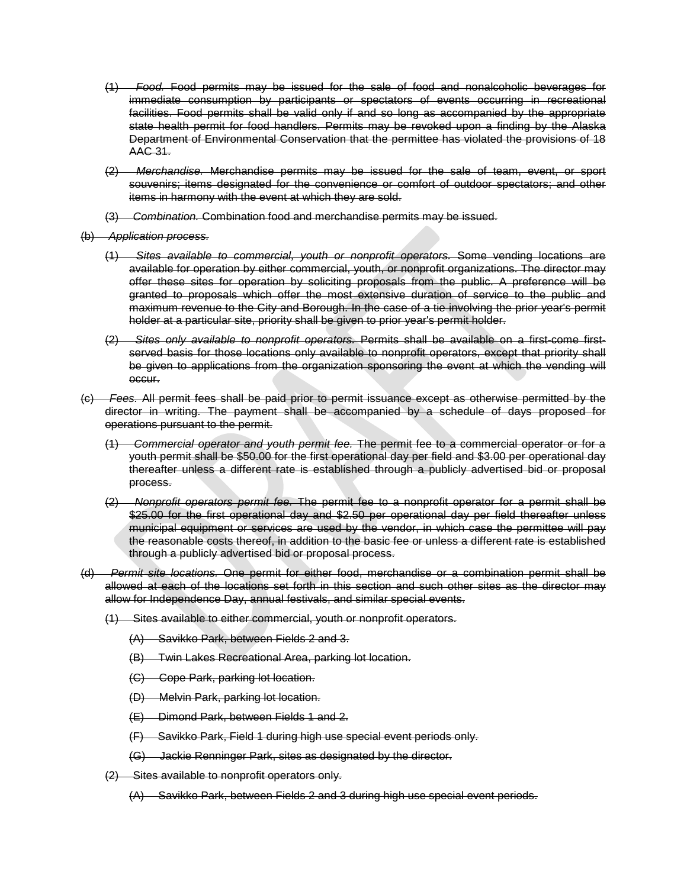- (1) *Food.* Food permits may be issued for the sale of food and nonalcoholic beverages for immediate consumption by participants or spectators of events occurring in recreational facilities. Food permits shall be valid only if and so long as accompanied by the appropriate state health permit for food handlers. Permits may be revoked upon a finding by the Alaska Department of Environmental Conservation that the permittee has violated the provisions of 18 AAC 31.
- (2) *Merchandise.* Merchandise permits may be issued for the sale of team, event, or sport souvenirs; items designated for the convenience or comfort of outdoor spectators; and other items in harmony with the event at which they are sold.
- (3) *Combination.* Combination food and merchandise permits may be issued.
- (b) *Application process.*
	- (1) *Sites available to commercial, youth or nonprofit operators.* Some vending locations are available for operation by either commercial, youth, or nonprofit organizations. The director may offer these sites for operation by soliciting proposals from the public. A preference will be granted to proposals which offer the most extensive duration of service to the public and maximum revenue to the City and Borough. In the case of a tie involving the prior year's permit holder at a particular site, priority shall be given to prior year's permit holder.
	- (2) *Sites only available to nonprofit operators.* Permits shall be available on a first-come firstserved basis for those locations only available to nonprofit operators, except that priority shall be given to applications from the organization sponsoring the event at which the vending will occur.
- (c) *Fees.* All permit fees shall be paid prior to permit issuance except as otherwise permitted by the director in writing. The payment shall be accompanied by a schedule of days proposed for operations pursuant to the permit.
	- (1) *Commercial operator and youth permit fee.* The permit fee to a commercial operator or for a youth permit shall be \$50.00 for the first operational day per field and \$3.00 per operational day thereafter unless a different rate is established through a publicly advertised bid or proposal process.
	- (2) *Nonprofit operators permit fee.* The permit fee to a nonprofit operator for a permit shall be \$25.00 for the first operational day and \$2.50 per operational day per field thereafter unless municipal equipment or services are used by the vendor, in which case the permittee will pay the reasonable costs thereof, in addition to the basic fee or unless a different rate is established through a publicly advertised bid or proposal process.
- (d) *Permit site locations.* One permit for either food, merchandise or a combination permit shall be allowed at each of the locations set forth in this section and such other sites as the director may allow for Independence Day, annual festivals, and similar special events.
	- (1) Sites available to either commercial, youth or nonprofit operators.
		- (A) Savikko Park, between Fields 2 and 3.
		- (B) Twin Lakes Recreational Area, parking lot location.
		- (C) Cope Park, parking lot location.
		- (D) Melvin Park, parking lot location.
		- (E) Dimond Park, between Fields 1 and 2.
		- (F) Savikko Park, Field 1 during high use special event periods only.
		- (G) Jackie Renninger Park, sites as designated by the director.
	- (2) Sites available to nonprofit operators only.
		- (A) Savikko Park, between Fields 2 and 3 during high use special event periods.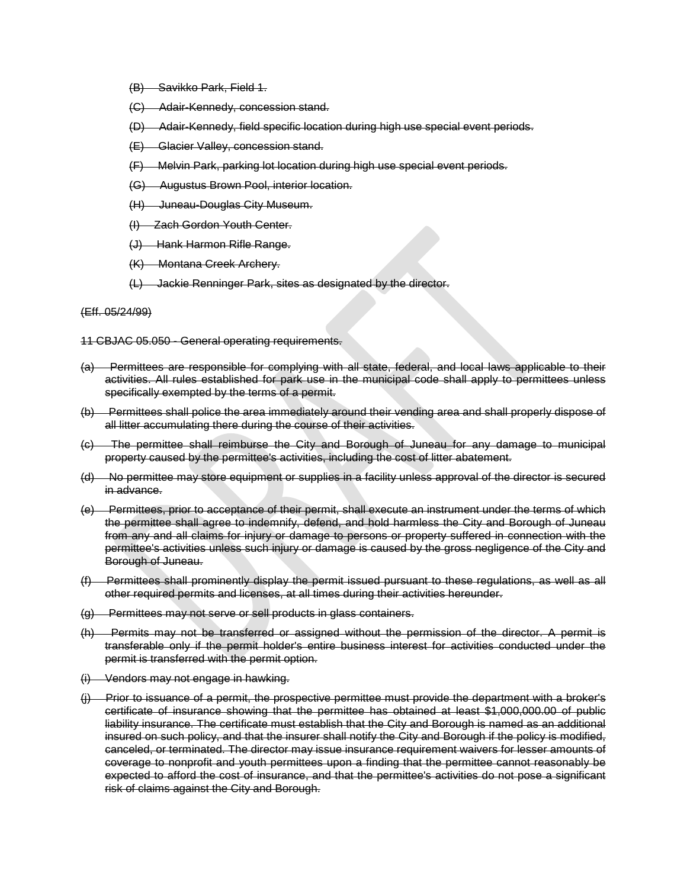- (B) Savikko Park, Field 1.
- (C) Adair-Kennedy, concession stand.
- (D) Adair-Kennedy, field specific location during high use special event periods.
- (E) Glacier Valley, concession stand.
- (F) Melvin Park, parking lot location during high use special event periods.
- (G) Augustus Brown Pool, interior location.
- (H) Juneau-Douglas City Museum.
- (I) Zach Gordon Youth Center.
- (J) Hank Harmon Rifle Range.
- (K) Montana Creek Archery.
- (L) Jackie Renninger Park, sites as designated by the director.

#### (Eff. 05/24/99)

11 CBJAC 05.050 - General operating requirements.

- (a) Permittees are responsible for complying with all state, federal, and local laws applicable to their activities. All rules established for park use in the municipal code shall apply to permittees unless specifically exempted by the terms of a permit.
- (b) Permittees shall police the area immediately around their vending area and shall properly dispose of all litter accumulating there during the course of their activities.
- (c) The permittee shall reimburse the City and Borough of Juneau for any damage to municipal property caused by the permittee's activities, including the cost of litter abatement.
- (d) No permittee may store equipment or supplies in a facility unless approval of the director is secured in advance.
- (e) Permittees, prior to acceptance of their permit, shall execute an instrument under the terms of which the permittee shall agree to indemnify, defend, and hold harmless the City and Borough of Juneau from any and all claims for injury or damage to persons or property suffered in connection with the permittee's activities unless such injury or damage is caused by the gross negligence of the City and Borough of Juneau.
- (f) Permittees shall prominently display the permit issued pursuant to these regulations, as well as all other required permits and licenses, at all times during their activities hereunder.
- (g) Permittees may not serve or sell products in glass containers.
- (h) Permits may not be transferred or assigned without the permission of the director. A permit is transferable only if the permit holder's entire business interest for activities conducted under the permit is transferred with the permit option.
- (i) Vendors may not engage in hawking.
- (j) Prior to issuance of a permit, the prospective permittee must provide the department with a broker's certificate of insurance showing that the permittee has obtained at least \$1,000,000.00 of public liability insurance. The certificate must establish that the City and Borough is named as an additional insured on such policy, and that the insurer shall notify the City and Borough if the policy is modified, canceled, or terminated. The director may issue insurance requirement waivers for lesser amounts of coverage to nonprofit and youth permittees upon a finding that the permittee cannot reasonably be expected to afford the cost of insurance, and that the permittee's activities do not pose a significant risk of claims against the City and Borough.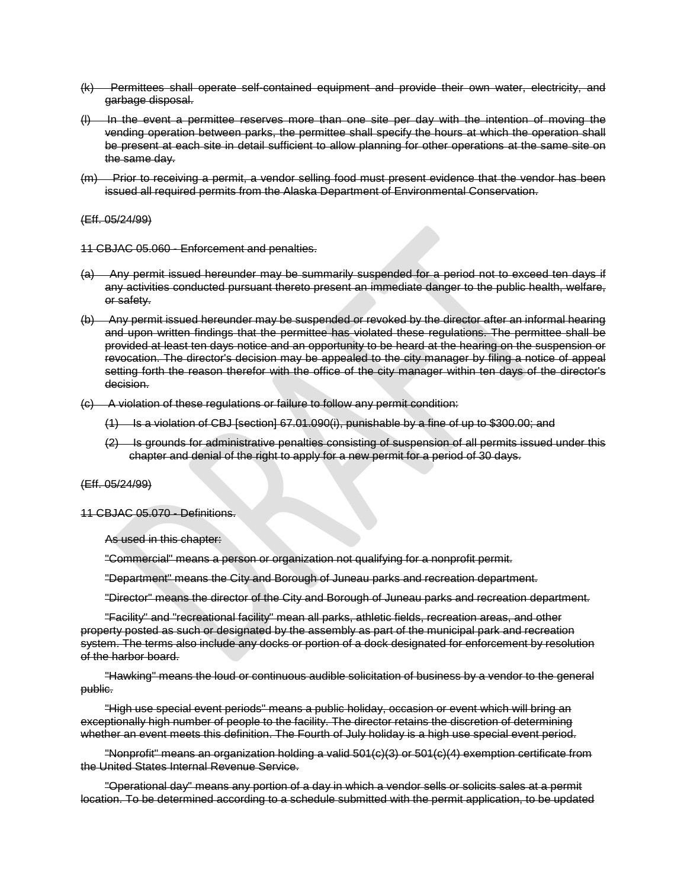- (k) Permittees shall operate self-contained equipment and provide their own water, electricity, and garbage disposal.
- (l) In the event a permittee reserves more than one site per day with the intention of moving the vending operation between parks, the permittee shall specify the hours at which the operation shall be present at each site in detail sufficient to allow planning for other operations at the same site on the same day.
- (m) Prior to receiving a permit, a vendor selling food must present evidence that the vendor has been issued all required permits from the Alaska Department of Environmental Conservation.

#### (Eff. 05/24/99)

11 CBJAC 05.060 - Enforcement and penalties.

- (a) Any permit issued hereunder may be summarily suspended for a period not to exceed ten days if any activities conducted pursuant thereto present an immediate danger to the public health, welfare, or safety.
- (b) Any permit issued hereunder may be suspended or revoked by the director after an informal hearing and upon written findings that the permittee has violated these regulations. The permittee shall be provided at least ten days notice and an opportunity to be heard at the hearing on the suspension or revocation. The director's decision may be appealed to the city manager by filing a notice of appeal setting forth the reason therefor with the office of the city manager within ten days of the director's decision.
- (c) A violation of these regulations or failure to follow any permit condition:
	- (1) Is a violation of CBJ [section] 67.01.090(i), punishable by a fine of up to \$300.00; and
	- (2) Is grounds for administrative penalties consisting of suspension of all permits issued under this chapter and denial of the right to apply for a new permit for a period of 30 days.

## (Eff. 05/24/99)

11 CBJAC 05.070 - Definitions.

As used in this chapter:

"Commercial" means a person or organization not qualifying for a nonprofit permit.

"Department" means the City and Borough of Juneau parks and recreation department.

"Director" means the director of the City and Borough of Juneau parks and recreation department.

"Facility" and "recreational facility" mean all parks, athletic fields, recreation areas, and other property posted as such or designated by the assembly as part of the municipal park and recreation system. The terms also include any docks or portion of a dock designated for enforcement by resolution of the harbor board.

"Hawking" means the loud or continuous audible solicitation of business by a vendor to the general public.

"High use special event periods" means a public holiday, occasion or event which will bring an exceptionally high number of people to the facility. The director retains the discretion of determining whether an event meets this definition. The Fourth of July holiday is a high use special event period.

"Nonprofit" means an organization holding a valid 501(c)(3) or 501(c)(4) exemption certificate from the United States Internal Revenue Service.

"Operational day" means any portion of a day in which a vendor sells or solicits sales at a permit location. To be determined according to a schedule submitted with the permit application, to be updated